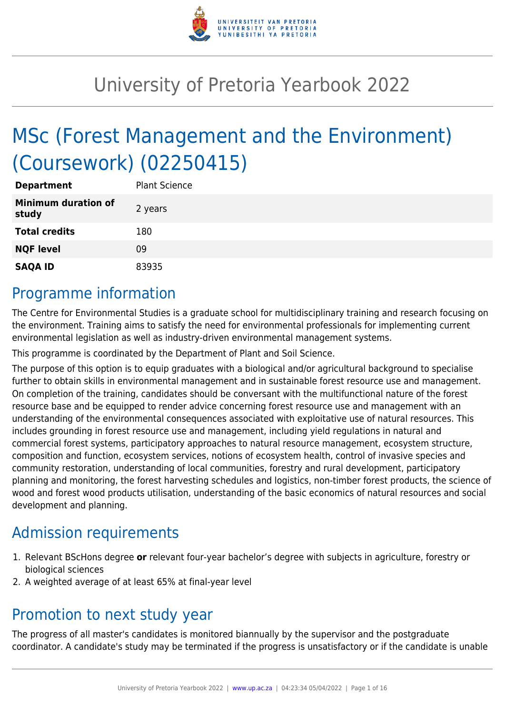

# University of Pretoria Yearbook 2022

# MSc (Forest Management and the Environment) (Coursework) (02250415)

| <b>Department</b>                   | <b>Plant Science</b> |
|-------------------------------------|----------------------|
| <b>Minimum duration of</b><br>study | 2 years              |
| <b>Total credits</b>                | 180                  |
| <b>NQF level</b>                    | 09                   |
| <b>SAQA ID</b>                      | 83935                |

# Programme information

The Centre for Environmental Studies is a graduate school for multidisciplinary training and research focusing on the environment. Training aims to satisfy the need for environmental professionals for implementing current environmental legislation as well as industry-driven environmental management systems.

This programme is coordinated by the Department of Plant and Soil Science.

The purpose of this option is to equip graduates with a biological and/or agricultural background to specialise further to obtain skills in environmental management and in sustainable forest resource use and management. On completion of the training, candidates should be conversant with the multifunctional nature of the forest resource base and be equipped to render advice concerning forest resource use and management with an understanding of the environmental consequences associated with exploitative use of natural resources. This includes grounding in forest resource use and management, including yield regulations in natural and commercial forest systems, participatory approaches to natural resource management, ecosystem structure, composition and function, ecosystem services, notions of ecosystem health, control of invasive species and community restoration, understanding of local communities, forestry and rural development, participatory planning and monitoring, the forest harvesting schedules and logistics, non-timber forest products, the science of wood and forest wood products utilisation, understanding of the basic economics of natural resources and social development and planning.

# Admission requirements

- 1. Relevant BScHons degree **or** relevant four-year bachelor's degree with subjects in agriculture, forestry or biological sciences
- 2. A weighted average of at least 65% at final-year level

# Promotion to next study year

The progress of all master's candidates is monitored biannually by the supervisor and the postgraduate coordinator. A candidate's study may be terminated if the progress is unsatisfactory or if the candidate is unable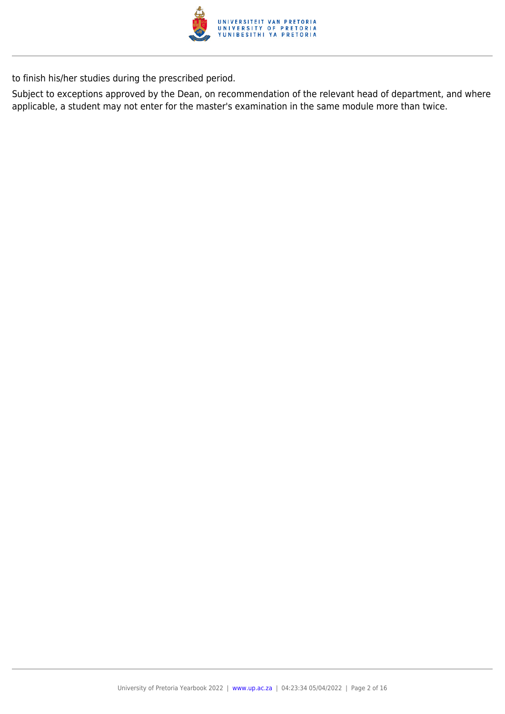

to finish his/her studies during the prescribed period.

Subject to exceptions approved by the Dean, on recommendation of the relevant head of department, and where applicable, a student may not enter for the master's examination in the same module more than twice.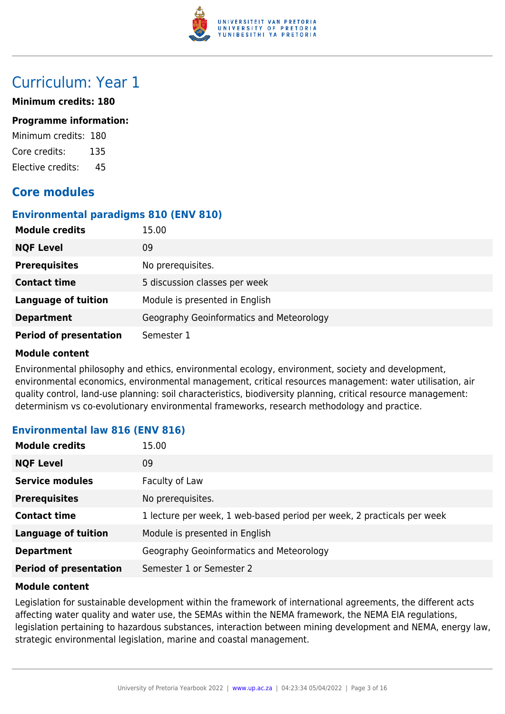

# Curriculum: Year 1

### **Minimum credits: 180**

#### **Programme information:**

Minimum credits: 180 Core credits: 135 Elective credits: 45

# **Core modules**

### **Environmental paradigms 810 (ENV 810)**

| <b>Module credits</b>         | 15.00                                    |
|-------------------------------|------------------------------------------|
| <b>NQF Level</b>              | 09                                       |
| <b>Prerequisites</b>          | No prerequisites.                        |
| <b>Contact time</b>           | 5 discussion classes per week            |
| <b>Language of tuition</b>    | Module is presented in English           |
| <b>Department</b>             | Geography Geoinformatics and Meteorology |
| <b>Period of presentation</b> | Semester 1                               |

### **Module content**

Environmental philosophy and ethics, environmental ecology, environment, society and development, environmental economics, environmental management, critical resources management: water utilisation, air quality control, land-use planning: soil characteristics, biodiversity planning, critical resource management: determinism vs co-evolutionary environmental frameworks, research methodology and practice.

### **Environmental law 816 (ENV 816)**

| <b>Module credits</b>         | 15.00                                                                  |
|-------------------------------|------------------------------------------------------------------------|
| <b>NQF Level</b>              | 09                                                                     |
| <b>Service modules</b>        | Faculty of Law                                                         |
| <b>Prerequisites</b>          | No prerequisites.                                                      |
| <b>Contact time</b>           | 1 lecture per week, 1 web-based period per week, 2 practicals per week |
| <b>Language of tuition</b>    | Module is presented in English                                         |
| <b>Department</b>             | Geography Geoinformatics and Meteorology                               |
| <b>Period of presentation</b> | Semester 1 or Semester 2                                               |

### **Module content**

Legislation for sustainable development within the framework of international agreements, the different acts affecting water quality and water use, the SEMAs within the NEMA framework, the NEMA EIA regulations, legislation pertaining to hazardous substances, interaction between mining development and NEMA, energy law, strategic environmental legislation, marine and coastal management.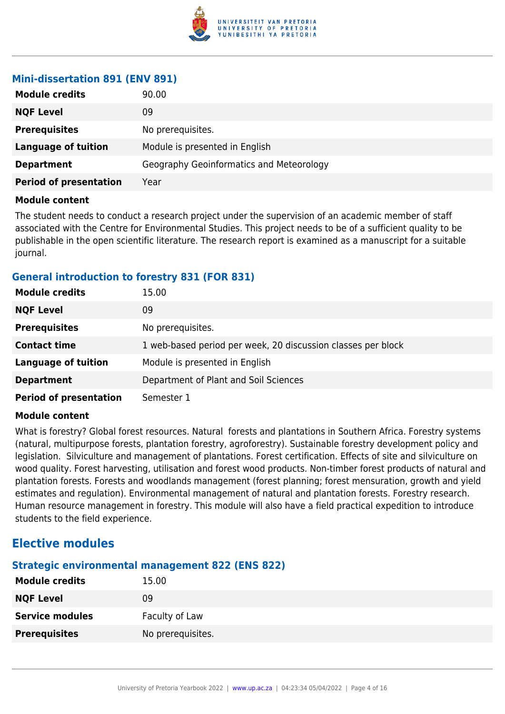

### **Mini-dissertation 891 (ENV 891)**

| <b>Module credits</b>         | 90.00                                    |
|-------------------------------|------------------------------------------|
| <b>NQF Level</b>              | 09                                       |
| <b>Prerequisites</b>          | No prerequisites.                        |
| <b>Language of tuition</b>    | Module is presented in English           |
| <b>Department</b>             | Geography Geoinformatics and Meteorology |
| <b>Period of presentation</b> | Year                                     |

### **Module content**

The student needs to conduct a research project under the supervision of an academic member of staff associated with the Centre for Environmental Studies. This project needs to be of a sufficient quality to be publishable in the open scientific literature. The research report is examined as a manuscript for a suitable journal.

### **General introduction to forestry 831 (FOR 831)**

| <b>Module credits</b>         | 15.00                                                        |
|-------------------------------|--------------------------------------------------------------|
| <b>NQF Level</b>              | 09                                                           |
| <b>Prerequisites</b>          | No prerequisites.                                            |
| <b>Contact time</b>           | 1 web-based period per week, 20 discussion classes per block |
| <b>Language of tuition</b>    | Module is presented in English                               |
| <b>Department</b>             | Department of Plant and Soil Sciences                        |
| <b>Period of presentation</b> | Semester 1                                                   |

### **Module content**

What is forestry? Global forest resources. Natural forests and plantations in Southern Africa. Forestry systems (natural, multipurpose forests, plantation forestry, agroforestry). Sustainable forestry development policy and legislation. Silviculture and management of plantations. Forest certification. Effects of site and silviculture on wood quality. Forest harvesting, utilisation and forest wood products. Non-timber forest products of natural and plantation forests. Forests and woodlands management (forest planning; forest mensuration, growth and yield estimates and regulation). Environmental management of natural and plantation forests. Forestry research. Human resource management in forestry. This module will also have a field practical expedition to introduce students to the field experience.

# **Elective modules**

# **Strategic environmental management 822 (ENS 822)**

| <b>Module credits</b>  | 15.00             |
|------------------------|-------------------|
| <b>NQF Level</b>       | 09                |
| <b>Service modules</b> | Faculty of Law    |
| <b>Prerequisites</b>   | No prerequisites. |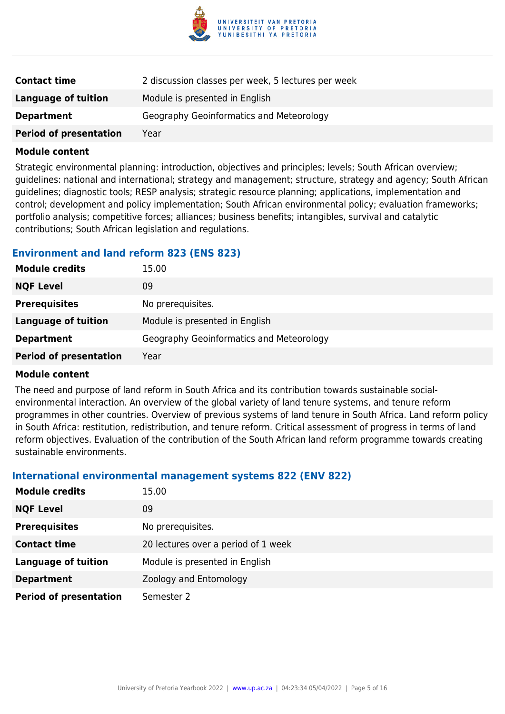

| <b>Contact time</b>           | 2 discussion classes per week, 5 lectures per week |
|-------------------------------|----------------------------------------------------|
| Language of tuition           | Module is presented in English                     |
| <b>Department</b>             | Geography Geoinformatics and Meteorology           |
| <b>Period of presentation</b> | Year                                               |

Strategic environmental planning: introduction, objectives and principles; levels; South African overview; guidelines: national and international; strategy and management; structure, strategy and agency; South African guidelines; diagnostic tools; RESP analysis; strategic resource planning; applications, implementation and control; development and policy implementation; South African environmental policy; evaluation frameworks; portfolio analysis; competitive forces; alliances; business benefits; intangibles, survival and catalytic contributions; South African legislation and regulations.

### **Environment and land reform 823 (ENS 823)**

| <b>Module credits</b>         | 15.00                                    |
|-------------------------------|------------------------------------------|
| <b>NQF Level</b>              | 09                                       |
| <b>Prerequisites</b>          | No prerequisites.                        |
| Language of tuition           | Module is presented in English           |
| <b>Department</b>             | Geography Geoinformatics and Meteorology |
| <b>Period of presentation</b> | Year                                     |

### **Module content**

The need and purpose of land reform in South Africa and its contribution towards sustainable socialenvironmental interaction. An overview of the global variety of land tenure systems, and tenure reform programmes in other countries. Overview of previous systems of land tenure in South Africa. Land reform policy in South Africa: restitution, redistribution, and tenure reform. Critical assessment of progress in terms of land reform objectives. Evaluation of the contribution of the South African land reform programme towards creating sustainable environments.

# **International environmental management systems 822 (ENV 822)**

| <b>Module credits</b>         | 15.00                               |
|-------------------------------|-------------------------------------|
| <b>NQF Level</b>              | 09                                  |
| <b>Prerequisites</b>          | No prerequisites.                   |
| <b>Contact time</b>           | 20 lectures over a period of 1 week |
| <b>Language of tuition</b>    | Module is presented in English      |
| <b>Department</b>             | Zoology and Entomology              |
| <b>Period of presentation</b> | Semester 2                          |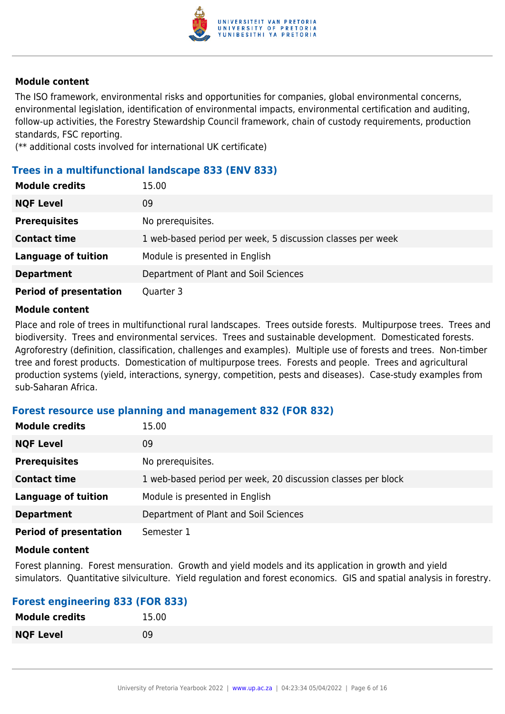

The ISO framework, environmental risks and opportunities for companies, global environmental concerns, environmental legislation, identification of environmental impacts, environmental certification and auditing, follow-up activities, the Forestry Stewardship Council framework, chain of custody requirements, production standards, FSC reporting.

(\*\* additional costs involved for international UK certificate)

### **Trees in a multifunctional landscape 833 (ENV 833)**

| <b>Module credits</b>         | 15.00                                                      |
|-------------------------------|------------------------------------------------------------|
| <b>NQF Level</b>              | 09                                                         |
| <b>Prerequisites</b>          | No prerequisites.                                          |
| <b>Contact time</b>           | 1 web-based period per week, 5 discussion classes per week |
| <b>Language of tuition</b>    | Module is presented in English                             |
| <b>Department</b>             | Department of Plant and Soil Sciences                      |
| <b>Period of presentation</b> | Quarter 3                                                  |

### **Module content**

Place and role of trees in multifunctional rural landscapes. Trees outside forests. Multipurpose trees. Trees and biodiversity. Trees and environmental services. Trees and sustainable development. Domesticated forests. Agroforestry (definition, classification, challenges and examples). Multiple use of forests and trees. Non-timber tree and forest products. Domestication of multipurpose trees. Forests and people. Trees and agricultural production systems (yield, interactions, synergy, competition, pests and diseases). Case-study examples from sub-Saharan Africa.

### **Forest resource use planning and management 832 (FOR 832)**

| <b>Module credits</b>         | 15.00                                                        |
|-------------------------------|--------------------------------------------------------------|
| <b>NQF Level</b>              | 09                                                           |
| <b>Prerequisites</b>          | No prerequisites.                                            |
| <b>Contact time</b>           | 1 web-based period per week, 20 discussion classes per block |
| <b>Language of tuition</b>    | Module is presented in English                               |
| <b>Department</b>             | Department of Plant and Soil Sciences                        |
| <b>Period of presentation</b> | Semester 1                                                   |

### **Module content**

Forest planning. Forest mensuration. Growth and yield models and its application in growth and yield simulators. Quantitative silviculture. Yield regulation and forest economics. GIS and spatial analysis in forestry.

### **Forest engineering 833 (FOR 833)**

| <b>Module credits</b> | 15.00 |
|-----------------------|-------|
| <b>NQF Level</b>      | 09    |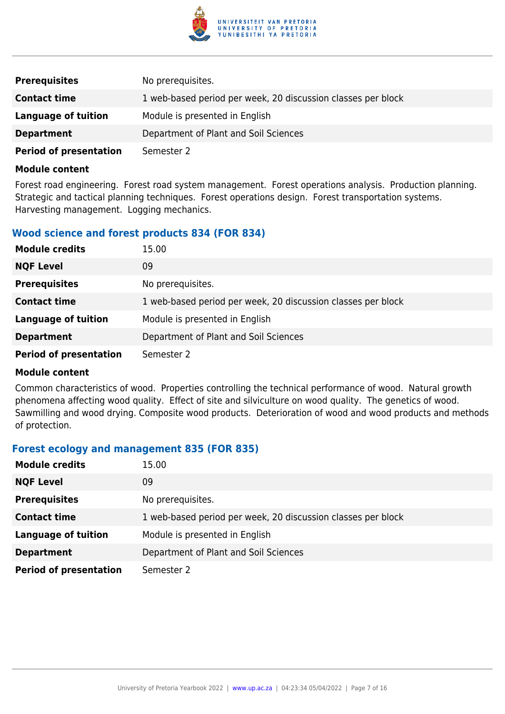

| <b>Prerequisites</b>          | No prerequisites.                                            |
|-------------------------------|--------------------------------------------------------------|
| <b>Contact time</b>           | 1 web-based period per week, 20 discussion classes per block |
| Language of tuition           | Module is presented in English                               |
| <b>Department</b>             | Department of Plant and Soil Sciences                        |
| <b>Period of presentation</b> | Semester 2                                                   |

Forest road engineering. Forest road system management. Forest operations analysis. Production planning. Strategic and tactical planning techniques. Forest operations design. Forest transportation systems. Harvesting management. Logging mechanics.

### **Wood science and forest products 834 (FOR 834)**

| <b>Module credits</b>         | 15.00                                                        |
|-------------------------------|--------------------------------------------------------------|
| <b>NQF Level</b>              | 09                                                           |
| <b>Prerequisites</b>          | No prerequisites.                                            |
| <b>Contact time</b>           | 1 web-based period per week, 20 discussion classes per block |
| <b>Language of tuition</b>    | Module is presented in English                               |
| <b>Department</b>             | Department of Plant and Soil Sciences                        |
| <b>Period of presentation</b> | Semester 2                                                   |

#### **Module content**

Common characteristics of wood. Properties controlling the technical performance of wood. Natural growth phenomena affecting wood quality. Effect of site and silviculture on wood quality. The genetics of wood. Sawmilling and wood drying. Composite wood products. Deterioration of wood and wood products and methods of protection.

### **Forest ecology and management 835 (FOR 835)**

| <b>Module credits</b>         | 15.00                                                        |
|-------------------------------|--------------------------------------------------------------|
| <b>NQF Level</b>              | 09                                                           |
| <b>Prerequisites</b>          | No prerequisites.                                            |
| <b>Contact time</b>           | 1 web-based period per week, 20 discussion classes per block |
| <b>Language of tuition</b>    | Module is presented in English                               |
| <b>Department</b>             | Department of Plant and Soil Sciences                        |
| <b>Period of presentation</b> | Semester 2                                                   |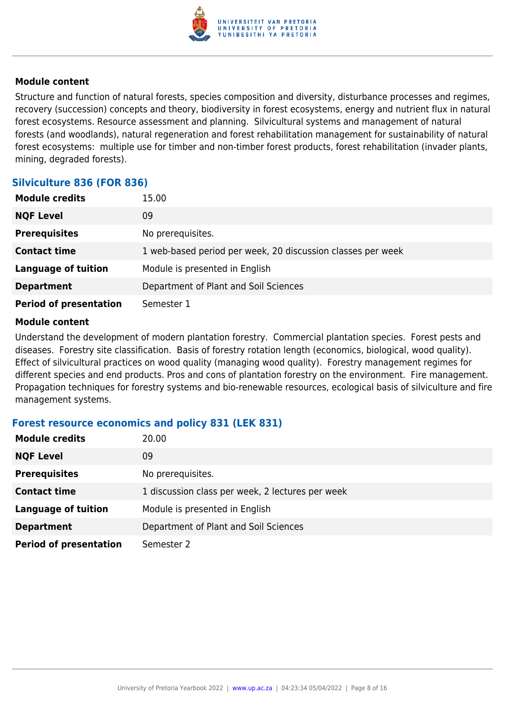

Structure and function of natural forests, species composition and diversity, disturbance processes and regimes, recovery (succession) concepts and theory, biodiversity in forest ecosystems, energy and nutrient flux in natural forest ecosystems. Resource assessment and planning. Silvicultural systems and management of natural forests (and woodlands), natural regeneration and forest rehabilitation management for sustainability of natural forest ecosystems: multiple use for timber and non-timber forest products, forest rehabilitation (invader plants, mining, degraded forests).

## **Silviculture 836 (FOR 836)**

| <b>Module credits</b>         | 15.00                                                       |
|-------------------------------|-------------------------------------------------------------|
| <b>NQF Level</b>              | 09                                                          |
| <b>Prerequisites</b>          | No prerequisites.                                           |
| <b>Contact time</b>           | 1 web-based period per week, 20 discussion classes per week |
| <b>Language of tuition</b>    | Module is presented in English                              |
| <b>Department</b>             | Department of Plant and Soil Sciences                       |
| <b>Period of presentation</b> | Semester 1                                                  |

### **Module content**

Understand the development of modern plantation forestry. Commercial plantation species. Forest pests and diseases. Forestry site classification. Basis of forestry rotation length (economics, biological, wood quality). Effect of silvicultural practices on wood quality (managing wood quality). Forestry management regimes for different species and end products. Pros and cons of plantation forestry on the environment. Fire management. Propagation techniques for forestry systems and bio-renewable resources, ecological basis of silviculture and fire management systems.

## **Forest resource economics and policy 831 (LEK 831)**

| <b>Module credits</b>         | 20.00                                            |
|-------------------------------|--------------------------------------------------|
| <b>NQF Level</b>              | 09                                               |
| <b>Prerequisites</b>          | No prerequisites.                                |
| <b>Contact time</b>           | 1 discussion class per week, 2 lectures per week |
| <b>Language of tuition</b>    | Module is presented in English                   |
| <b>Department</b>             | Department of Plant and Soil Sciences            |
| <b>Period of presentation</b> | Semester 2                                       |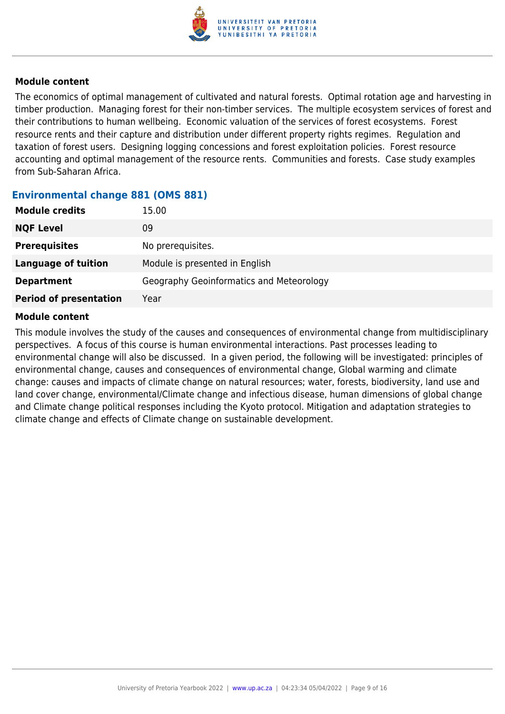

The economics of optimal management of cultivated and natural forests. Optimal rotation age and harvesting in timber production. Managing forest for their non-timber services. The multiple ecosystem services of forest and their contributions to human wellbeing. Economic valuation of the services of forest ecosystems. Forest resource rents and their capture and distribution under different property rights regimes. Regulation and taxation of forest users. Designing logging concessions and forest exploitation policies. Forest resource accounting and optimal management of the resource rents. Communities and forests. Case study examples from Sub-Saharan Africa.

### **Environmental change 881 (OMS 881)**

| <b>Module credits</b>         | 15.00                                    |
|-------------------------------|------------------------------------------|
| <b>NQF Level</b>              | 09                                       |
| <b>Prerequisites</b>          | No prerequisites.                        |
| Language of tuition           | Module is presented in English           |
| <b>Department</b>             | Geography Geoinformatics and Meteorology |
| <b>Period of presentation</b> | Year                                     |

### **Module content**

This module involves the study of the causes and consequences of environmental change from multidisciplinary perspectives. A focus of this course is human environmental interactions. Past processes leading to environmental change will also be discussed. In a given period, the following will be investigated: principles of environmental change, causes and consequences of environmental change, Global warming and climate change: causes and impacts of climate change on natural resources; water, forests, biodiversity, land use and land cover change, environmental/Climate change and infectious disease, human dimensions of global change and Climate change political responses including the Kyoto protocol. Mitigation and adaptation strategies to climate change and effects of Climate change on sustainable development.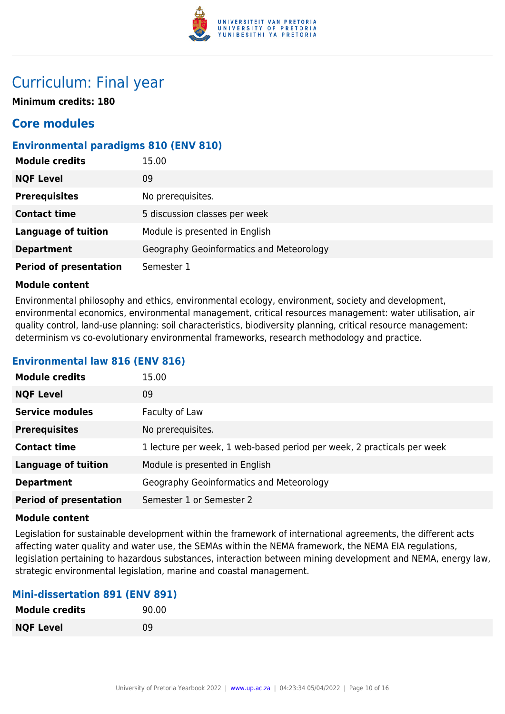

# Curriculum: Final year

**Minimum credits: 180**

# **Core modules**

## **Environmental paradigms 810 (ENV 810)**

| <b>Module credits</b>         | 15.00                                    |
|-------------------------------|------------------------------------------|
| <b>NQF Level</b>              | 09                                       |
| <b>Prerequisites</b>          | No prerequisites.                        |
| <b>Contact time</b>           | 5 discussion classes per week            |
| <b>Language of tuition</b>    | Module is presented in English           |
| <b>Department</b>             | Geography Geoinformatics and Meteorology |
| <b>Period of presentation</b> | Semester 1                               |

### **Module content**

Environmental philosophy and ethics, environmental ecology, environment, society and development, environmental economics, environmental management, critical resources management: water utilisation, air quality control, land-use planning: soil characteristics, biodiversity planning, critical resource management: determinism vs co-evolutionary environmental frameworks, research methodology and practice.

### **Environmental law 816 (ENV 816)**

| <b>Module credits</b>         | 15.00                                                                  |
|-------------------------------|------------------------------------------------------------------------|
| <b>NQF Level</b>              | 09                                                                     |
| <b>Service modules</b>        | Faculty of Law                                                         |
| <b>Prerequisites</b>          | No prerequisites.                                                      |
| <b>Contact time</b>           | 1 lecture per week, 1 web-based period per week, 2 practicals per week |
| <b>Language of tuition</b>    | Module is presented in English                                         |
| <b>Department</b>             | Geography Geoinformatics and Meteorology                               |
| <b>Period of presentation</b> | Semester 1 or Semester 2                                               |

### **Module content**

Legislation for sustainable development within the framework of international agreements, the different acts affecting water quality and water use, the SEMAs within the NEMA framework, the NEMA EIA regulations, legislation pertaining to hazardous substances, interaction between mining development and NEMA, energy law, strategic environmental legislation, marine and coastal management.

### **Mini-dissertation 891 (ENV 891)**

| <b>Module credits</b> | 90.00 |
|-----------------------|-------|
| <b>NQF Level</b>      | 09    |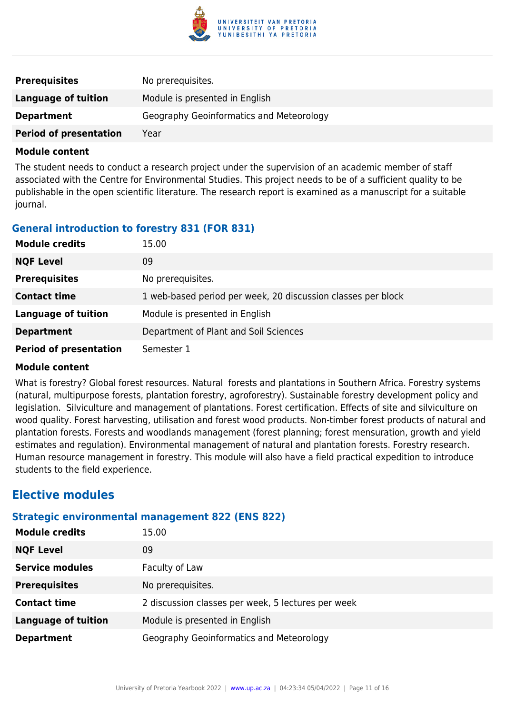

| <b>Prerequisites</b>          | No prerequisites.                        |
|-------------------------------|------------------------------------------|
| Language of tuition           | Module is presented in English           |
| <b>Department</b>             | Geography Geoinformatics and Meteorology |
| <b>Period of presentation</b> | Year                                     |

The student needs to conduct a research project under the supervision of an academic member of staff associated with the Centre for Environmental Studies. This project needs to be of a sufficient quality to be publishable in the open scientific literature. The research report is examined as a manuscript for a suitable journal.

## **General introduction to forestry 831 (FOR 831)**

| <b>Module credits</b>         | 15.00                                                        |
|-------------------------------|--------------------------------------------------------------|
| <b>NQF Level</b>              | 09                                                           |
| <b>Prerequisites</b>          | No prerequisites.                                            |
| <b>Contact time</b>           | 1 web-based period per week, 20 discussion classes per block |
| <b>Language of tuition</b>    | Module is presented in English                               |
| <b>Department</b>             | Department of Plant and Soil Sciences                        |
| <b>Period of presentation</b> | Semester 1                                                   |

### **Module content**

What is forestry? Global forest resources. Natural forests and plantations in Southern Africa. Forestry systems (natural, multipurpose forests, plantation forestry, agroforestry). Sustainable forestry development policy and legislation. Silviculture and management of plantations. Forest certification. Effects of site and silviculture on wood quality. Forest harvesting, utilisation and forest wood products. Non-timber forest products of natural and plantation forests. Forests and woodlands management (forest planning; forest mensuration, growth and yield estimates and regulation). Environmental management of natural and plantation forests. Forestry research. Human resource management in forestry. This module will also have a field practical expedition to introduce students to the field experience.

# **Elective modules**

### **Strategic environmental management 822 (ENS 822)**

| <b>Module credits</b>      | 15.00                                              |
|----------------------------|----------------------------------------------------|
| <b>NQF Level</b>           | 09                                                 |
| <b>Service modules</b>     | Faculty of Law                                     |
| <b>Prerequisites</b>       | No prerequisites.                                  |
| <b>Contact time</b>        | 2 discussion classes per week, 5 lectures per week |
| <b>Language of tuition</b> | Module is presented in English                     |
| <b>Department</b>          | Geography Geoinformatics and Meteorology           |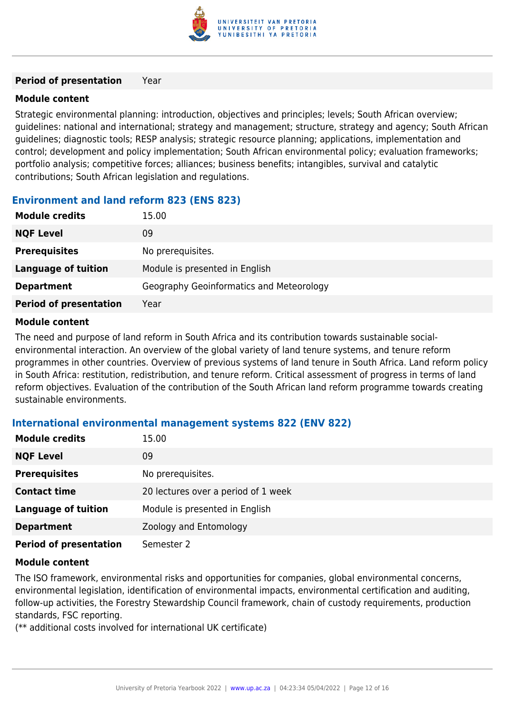

### **Period of presentation** Year

### **Module content**

Strategic environmental planning: introduction, objectives and principles; levels; South African overview; guidelines: national and international; strategy and management; structure, strategy and agency; South African guidelines; diagnostic tools; RESP analysis; strategic resource planning; applications, implementation and control; development and policy implementation; South African environmental policy; evaluation frameworks; portfolio analysis; competitive forces; alliances; business benefits; intangibles, survival and catalytic contributions; South African legislation and regulations.

## **Environment and land reform 823 (ENS 823)**

| <b>Module credits</b>         | 15.00                                    |
|-------------------------------|------------------------------------------|
| <b>NQF Level</b>              | 09                                       |
| <b>Prerequisites</b>          | No prerequisites.                        |
| Language of tuition           | Module is presented in English           |
| <b>Department</b>             | Geography Geoinformatics and Meteorology |
| <b>Period of presentation</b> | Year                                     |

### **Module content**

The need and purpose of land reform in South Africa and its contribution towards sustainable socialenvironmental interaction. An overview of the global variety of land tenure systems, and tenure reform programmes in other countries. Overview of previous systems of land tenure in South Africa. Land reform policy in South Africa: restitution, redistribution, and tenure reform. Critical assessment of progress in terms of land reform objectives. Evaluation of the contribution of the South African land reform programme towards creating sustainable environments.

## **International environmental management systems 822 (ENV 822)**

| <b>Module credits</b>         | 15.00                               |
|-------------------------------|-------------------------------------|
| <b>NQF Level</b>              | 09                                  |
| <b>Prerequisites</b>          | No prerequisites.                   |
| <b>Contact time</b>           | 20 lectures over a period of 1 week |
| <b>Language of tuition</b>    | Module is presented in English      |
| <b>Department</b>             | Zoology and Entomology              |
| <b>Period of presentation</b> | Semester 2                          |

### **Module content**

The ISO framework, environmental risks and opportunities for companies, global environmental concerns, environmental legislation, identification of environmental impacts, environmental certification and auditing, follow-up activities, the Forestry Stewardship Council framework, chain of custody requirements, production standards, FSC reporting.

(\*\* additional costs involved for international UK certificate)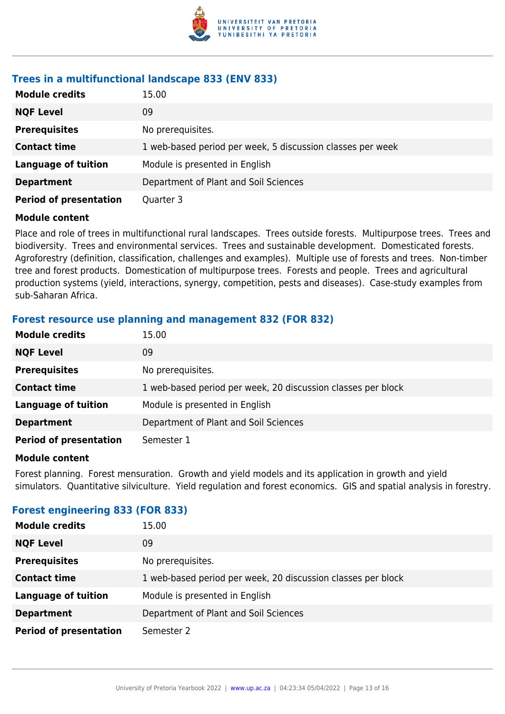

# **Trees in a multifunctional landscape 833 (ENV 833)**

| <b>Module credits</b>         | 15.00                                                      |
|-------------------------------|------------------------------------------------------------|
| <b>NQF Level</b>              | 09                                                         |
| <b>Prerequisites</b>          | No prerequisites.                                          |
| <b>Contact time</b>           | 1 web-based period per week, 5 discussion classes per week |
| <b>Language of tuition</b>    | Module is presented in English                             |
| <b>Department</b>             | Department of Plant and Soil Sciences                      |
| <b>Period of presentation</b> | Quarter 3                                                  |

### **Module content**

Place and role of trees in multifunctional rural landscapes. Trees outside forests. Multipurpose trees. Trees and biodiversity. Trees and environmental services. Trees and sustainable development. Domesticated forests. Agroforestry (definition, classification, challenges and examples). Multiple use of forests and trees. Non-timber tree and forest products. Domestication of multipurpose trees. Forests and people. Trees and agricultural production systems (yield, interactions, synergy, competition, pests and diseases). Case-study examples from sub-Saharan Africa.

### **Forest resource use planning and management 832 (FOR 832)**

| <b>Module credits</b>         | 15.00                                                        |
|-------------------------------|--------------------------------------------------------------|
| <b>NQF Level</b>              | 09                                                           |
| <b>Prerequisites</b>          | No prerequisites.                                            |
| <b>Contact time</b>           | 1 web-based period per week, 20 discussion classes per block |
| <b>Language of tuition</b>    | Module is presented in English                               |
| <b>Department</b>             | Department of Plant and Soil Sciences                        |
| <b>Period of presentation</b> | Semester 1                                                   |

### **Module content**

Forest planning. Forest mensuration. Growth and yield models and its application in growth and yield simulators. Quantitative silviculture. Yield regulation and forest economics. GIS and spatial analysis in forestry.

## **Forest engineering 833 (FOR 833)**

| <b>Module credits</b>         | 15.00                                                        |
|-------------------------------|--------------------------------------------------------------|
| <b>NQF Level</b>              | 09                                                           |
| <b>Prerequisites</b>          | No prerequisites.                                            |
| <b>Contact time</b>           | 1 web-based period per week, 20 discussion classes per block |
| <b>Language of tuition</b>    | Module is presented in English                               |
| <b>Department</b>             | Department of Plant and Soil Sciences                        |
| <b>Period of presentation</b> | Semester 2                                                   |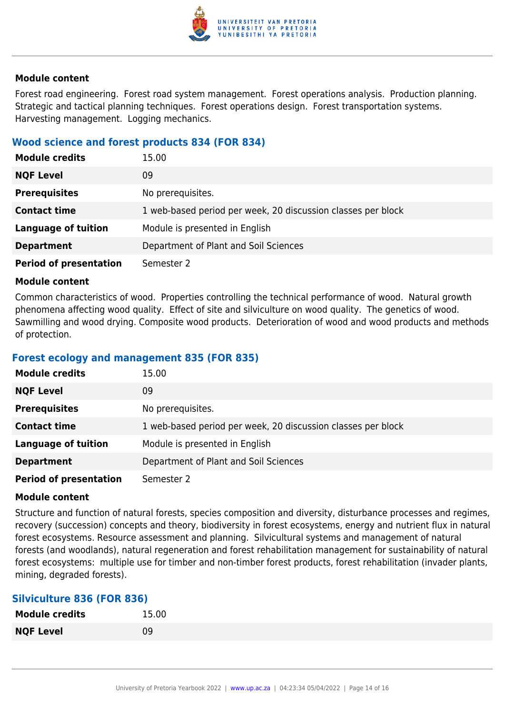

Forest road engineering. Forest road system management. Forest operations analysis. Production planning. Strategic and tactical planning techniques. Forest operations design. Forest transportation systems. Harvesting management. Logging mechanics.

### **Wood science and forest products 834 (FOR 834)**

| <b>Module credits</b>         | 15.00                                                        |
|-------------------------------|--------------------------------------------------------------|
| <b>NQF Level</b>              | 09                                                           |
| <b>Prerequisites</b>          | No prerequisites.                                            |
| <b>Contact time</b>           | 1 web-based period per week, 20 discussion classes per block |
| <b>Language of tuition</b>    | Module is presented in English                               |
| <b>Department</b>             | Department of Plant and Soil Sciences                        |
| <b>Period of presentation</b> | Semester 2                                                   |

### **Module content**

Common characteristics of wood. Properties controlling the technical performance of wood. Natural growth phenomena affecting wood quality. Effect of site and silviculture on wood quality. The genetics of wood. Sawmilling and wood drying. Composite wood products. Deterioration of wood and wood products and methods of protection.

### **Forest ecology and management 835 (FOR 835)**

| <b>Module credits</b>         | 15.00                                                        |
|-------------------------------|--------------------------------------------------------------|
| <b>NQF Level</b>              | 09                                                           |
| <b>Prerequisites</b>          | No prerequisites.                                            |
| <b>Contact time</b>           | 1 web-based period per week, 20 discussion classes per block |
| <b>Language of tuition</b>    | Module is presented in English                               |
| <b>Department</b>             | Department of Plant and Soil Sciences                        |
| <b>Period of presentation</b> | Semester 2                                                   |

### **Module content**

Structure and function of natural forests, species composition and diversity, disturbance processes and regimes, recovery (succession) concepts and theory, biodiversity in forest ecosystems, energy and nutrient flux in natural forest ecosystems. Resource assessment and planning. Silvicultural systems and management of natural forests (and woodlands), natural regeneration and forest rehabilitation management for sustainability of natural forest ecosystems: multiple use for timber and non-timber forest products, forest rehabilitation (invader plants, mining, degraded forests).

### **Silviculture 836 (FOR 836)**

| <b>Module credits</b> | 15.00 |
|-----------------------|-------|
| <b>NQF Level</b>      | 09    |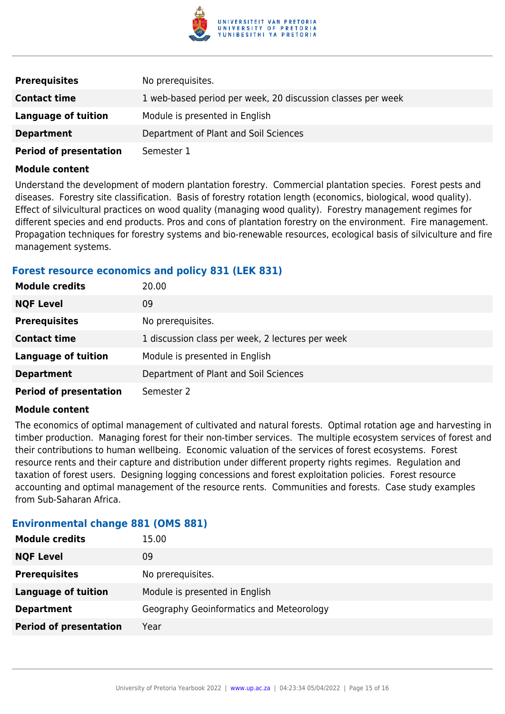

| <b>Prerequisites</b>          | No prerequisites.                                           |
|-------------------------------|-------------------------------------------------------------|
| <b>Contact time</b>           | 1 web-based period per week, 20 discussion classes per week |
| Language of tuition           | Module is presented in English                              |
| <b>Department</b>             | Department of Plant and Soil Sciences                       |
| <b>Period of presentation</b> | Semester 1                                                  |

Understand the development of modern plantation forestry. Commercial plantation species. Forest pests and diseases. Forestry site classification. Basis of forestry rotation length (economics, biological, wood quality). Effect of silvicultural practices on wood quality (managing wood quality). Forestry management regimes for different species and end products. Pros and cons of plantation forestry on the environment. Fire management. Propagation techniques for forestry systems and bio-renewable resources, ecological basis of silviculture and fire management systems.

### **Forest resource economics and policy 831 (LEK 831)**

| <b>Module credits</b>         | 20.00                                            |
|-------------------------------|--------------------------------------------------|
| <b>NQF Level</b>              | 09                                               |
| <b>Prerequisites</b>          | No prerequisites.                                |
| <b>Contact time</b>           | 1 discussion class per week, 2 lectures per week |
| <b>Language of tuition</b>    | Module is presented in English                   |
| <b>Department</b>             | Department of Plant and Soil Sciences            |
| <b>Period of presentation</b> | Semester 2                                       |

### **Module content**

The economics of optimal management of cultivated and natural forests. Optimal rotation age and harvesting in timber production. Managing forest for their non-timber services. The multiple ecosystem services of forest and their contributions to human wellbeing. Economic valuation of the services of forest ecosystems. Forest resource rents and their capture and distribution under different property rights regimes. Regulation and taxation of forest users. Designing logging concessions and forest exploitation policies. Forest resource accounting and optimal management of the resource rents. Communities and forests. Case study examples from Sub-Saharan Africa.

### **Environmental change 881 (OMS 881)**

| <b>Module credits</b>         | 15.00                                    |
|-------------------------------|------------------------------------------|
| <b>NQF Level</b>              | 09                                       |
| <b>Prerequisites</b>          | No prerequisites.                        |
| <b>Language of tuition</b>    | Module is presented in English           |
| <b>Department</b>             | Geography Geoinformatics and Meteorology |
| <b>Period of presentation</b> | Year                                     |